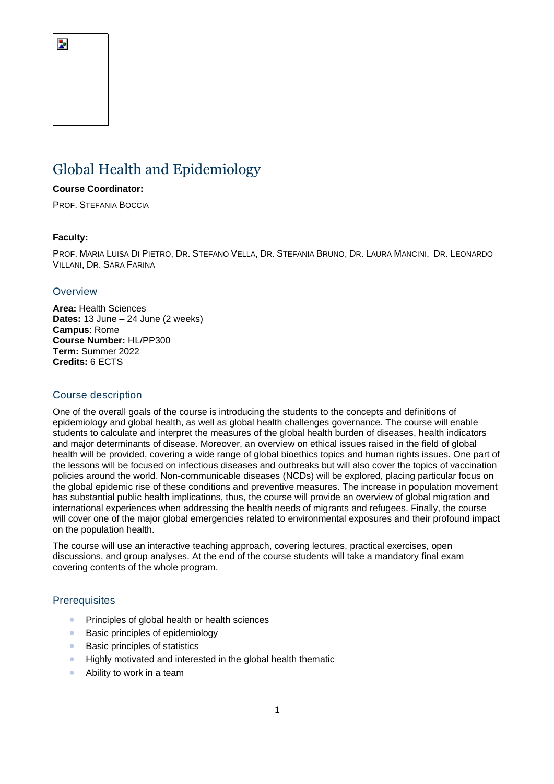# Global Health and Epidemiology

#### **Course Coordinator:**

PROF. STEFANIA BOCCIA

## **Faculty:**

Þ

PROF. MARIA LUISA DI PIETRO, DR. STEFANO VELLA, DR. STEFANIA BRUNO, DR. LAURA MANCINI, DR. LEONARDO VILLANI, DR. SARA FARINA

#### **Overview**

**Area:** Health Sciences **Dates:** 13 June – 24 June (2 weeks) **Campus**: Rome **Course Number:** HL/PP300 **Term:** Summer 2022 **Credits:** 6 ECTS

## Course description

One of the overall goals of the course is introducing the students to the concepts and definitions of epidemiology and global health, as well as global health challenges governance. The course will enable students to calculate and interpret the measures of the global health burden of diseases, health indicators and major determinants of disease. Moreover, an overview on ethical issues raised in the field of global health will be provided, covering a wide range of global bioethics topics and human rights issues. One part of the lessons will be focused on infectious diseases and outbreaks but will also cover the topics of vaccination policies around the world. Non-communicable diseases (NCDs) will be explored, placing particular focus on the global epidemic rise of these conditions and preventive measures. The increase in population movement has substantial public health implications, thus, the course will provide an overview of global migration and international experiences when addressing the health needs of migrants and refugees. Finally, the course will cover one of the major global emergencies related to environmental exposures and their profound impact on the population health.

The course will use an interactive teaching approach, covering lectures, practical exercises, open discussions, and group analyses. At the end of the course students will take a mandatory final exam covering contents of the whole program.

## **Prerequisites**

- Principles of global health or health sciences
- Basic principles of epidemiology
- Basic principles of statistics
- Highly motivated and interested in the global health thematic
- Ability to work in a team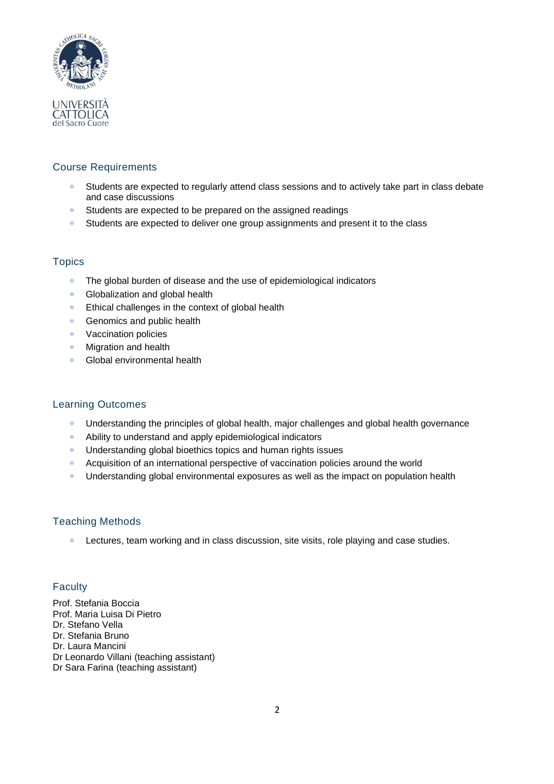

# Course Requirements

- Students are expected to regularly attend class sessions and to actively take part in class debate and case discussions
- Students are expected to be prepared on the assigned readings
- Students are expected to deliver one group assignments and present it to the class

# **Topics**

- The global burden of disease and the use of epidemiological indicators
- Globalization and global health
- Ethical challenges in the context of global health
- Genomics and public health
- Vaccination policies
- Migration and health
- Global environmental health

# Learning Outcomes

- Understanding the principles of global health, major challenges and global health governance
- Ability to understand and apply epidemiological indicators
- Understanding global bioethics topics and human rights issues
- Acquisition of an international perspective of vaccination policies around the world
- Understanding global environmental exposures as well as the impact on population health

# Teaching Methods

• Lectures, team working and in class discussion, site visits, role playing and case studies.

# **Faculty**

Prof. Stefania Boccia Prof. Maria Luisa Di Pietro Dr. Stefano Vella Dr. Stefania Bruno Dr. Laura Mancini Dr Leonardo Villani (teaching assistant) Dr Sara Farina (teaching assistant)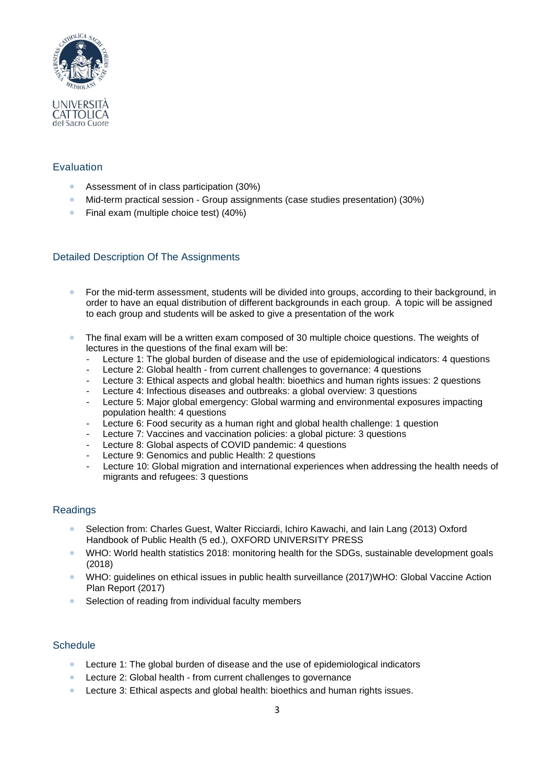

# Evaluation

- Assessment of in class participation (30%)
- Mid-term practical session Group assignments (case studies presentation) (30%)
- Final exam (multiple choice test) (40%)

# Detailed Description Of The Assignments

- For the mid-term assessment, students will be divided into groups, according to their background, in order to have an equal distribution of different backgrounds in each group. A topic will be assigned to each group and students will be asked to give a presentation of the work
- The final exam will be a written exam composed of 30 multiple choice questions. The weights of lectures in the questions of the final exam will be:
	- Lecture 1: The global burden of disease and the use of epidemiological indicators: 4 questions
	- Lecture 2: Global health from current challenges to governance: 4 questions
	- Lecture 3: Ethical aspects and global health: bioethics and human rights issues: 2 questions
	- Lecture 4: Infectious diseases and outbreaks: a global overview: 3 questions
	- Lecture 5: Major global emergency: Global warming and environmental exposures impacting population health: 4 questions
	- Lecture 6: Food security as a human right and global health challenge: 1 question
	- Lecture 7: Vaccines and vaccination policies: a global picture: 3 questions
	- Lecture 8: Global aspects of COVID pandemic: 4 questions
	- Lecture 9: Genomics and public Health: 2 questions
	- Lecture 10: Global migration and international experiences when addressing the health needs of migrants and refugees: 3 questions

# Readings

- Selection from: Charles Guest, Walter Ricciardi, Ichiro Kawachi, and Iain Lang (2013) Oxford Handbook of Public Health (5 ed.), OXFORD UNIVERSITY PRESS
- WHO: World health statistics 2018: monitoring health for the SDGs, sustainable development goals (2018)
- WHO: quidelines on ethical issues in public health surveillance (2017)WHO: Global Vaccine Action Plan Report (2017)
- Selection of reading from individual faculty members

## **Schedule**

- Lecture 1: The global burden of disease and the use of epidemiological indicators
- Lecture 2: Global health from current challenges to governance
- Lecture 3: Ethical aspects and global health: bioethics and human rights issues.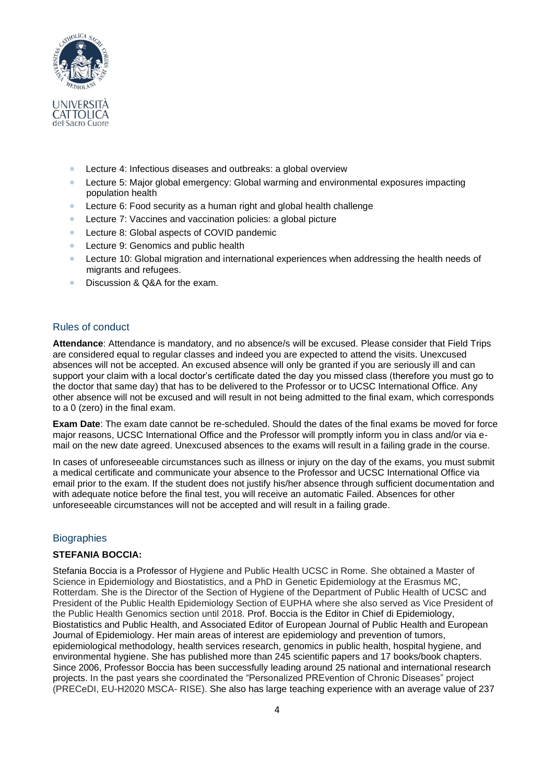

- Lecture 4: Infectious diseases and outbreaks: a global overview
- Lecture 5: Major global emergency: Global warming and environmental exposures impacting population health
- Lecture 6: Food security as a human right and global health challenge
- Lecture 7: Vaccines and vaccination policies: a global picture
- Lecture 8: Global aspects of COVID pandemic
- Lecture 9: Genomics and public health
- Lecture 10: Global migration and international experiences when addressing the health needs of migrants and refugees.
- Discussion & Q&A for the exam.

#### Rules of conduct

**Attendance**: Attendance is mandatory, and no absence/s will be excused. Please consider that Field Trips are considered equal to regular classes and indeed you are expected to attend the visits. Unexcused absences will not be accepted. An excused absence will only be granted if you are seriously ill and can support your claim with a local doctor's certificate dated the day you missed class (therefore you must go to the doctor that same day) that has to be delivered to the Professor or to UCSC International Office. Any other absence will not be excused and will result in not being admitted to the final exam, which corresponds to a 0 (zero) in the final exam.

**Exam Date**: The exam date cannot be re-scheduled. Should the dates of the final exams be moved for force major reasons, UCSC International Office and the Professor will promptly inform you in class and/or via email on the new date agreed. Unexcused absences to the exams will result in a failing grade in the course.

In cases of unforeseeable circumstances such as illness or injury on the day of the exams, you must submit a medical certificate and communicate your absence to the Professor and UCSC International Office via email prior to the exam. If the student does not justify his/her absence through sufficient documentation and with adequate notice before the final test, you will receive an automatic Failed. Absences for other unforeseeable circumstances will not be accepted and will result in a failing grade.

## **Biographies**

#### **STEFANIA BOCCIA:**

Stefania Boccia is a Professor of Hygiene and Public Health UCSC in Rome. She obtained a Master of Science in Epidemiology and Biostatistics, and a PhD in Genetic Epidemiology at the Erasmus MC, Rotterdam. She is the Director of the Section of Hygiene of the Department of Public Health of UCSC and President of the Public Health Epidemiology Section of EUPHA where she also served as Vice President of the Public Health Genomics section until 2018. Prof. Boccia is the Editor in Chief di Epidemiology, Biostatistics and Public Health, and Associated Editor of European Journal of Public Health and European Journal of Epidemiology. Her main areas of interest are epidemiology and prevention of tumors, epidemiological methodology, health services research, genomics in public health, hospital hygiene, and environmental hygiene. She has published more than 245 scientific papers and 17 books/book chapters. Since 2006, Professor Boccia has been successfully leading around 25 national and international research projects. In the past years she coordinated the "Personalized PREvention of Chronic Diseases" project (PRECeDI, EU-H2020 MSCA- RISE). She also has large teaching experience with an average value of 237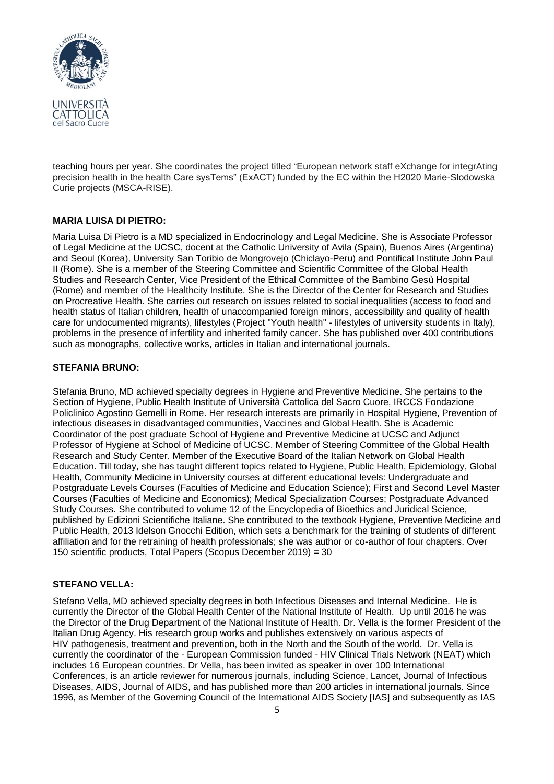

teaching hours per year. She coordinates the project titled "European network staff eXchange for integrAting precision health in the health Care sysTems" (ExACT) funded by the EC within the H2020 Marie-Slodowska Curie projects (MSCA-RISE).

#### **MARIA LUISA DI PIETRO:**

Maria Luisa Di Pietro is a MD specialized in Endocrinology and Legal Medicine. She is Associate Professor of Legal Medicine at the UCSC, docent at the Catholic University of Avila (Spain), Buenos Aires (Argentina) and Seoul (Korea), University San Toribio de Mongrovejo (Chiclayo-Peru) and Pontifical Institute John Paul II (Rome). She is a member of the Steering Committee and Scientific Committee of the Global Health Studies and Research Center, Vice President of the Ethical Committee of the Bambino Gesù Hospital (Rome) and member of the Healthcity Institute. She is the Director of the Center for Research and Studies on Procreative Health. She carries out research on issues related to social inequalities (access to food and health status of Italian children, health of unaccompanied foreign minors, accessibility and quality of health care for undocumented migrants), lifestyles (Project "Youth health" - lifestyles of university students in Italy), problems in the presence of infertility and inherited family cancer. She has published over 400 contributions such as monographs, collective works, articles in Italian and international journals.

#### **STEFANIA BRUNO:**

Stefania Bruno, MD achieved specialty degrees in Hygiene and Preventive Medicine. She pertains to the Section of Hygiene, Public Health Institute of Università Cattolica del Sacro Cuore, IRCCS Fondazione Policlinico Agostino Gemelli in Rome. Her research interests are primarily in Hospital Hygiene, Prevention of infectious diseases in disadvantaged communities, Vaccines and Global Health. She is Academic Coordinator of the post graduate School of Hygiene and Preventive Medicine at UCSC and Adjunct Professor of Hygiene at School of Medicine of UCSC. Member of Steering Committee of the Global Health Research and Study Center. Member of the Executive Board of the Italian Network on Global Health Education. Till today, she has taught different topics related to Hygiene, Public Health, Epidemiology, Global Health, Community Medicine in University courses at different educational levels: Undergraduate and Postgraduate Levels Courses (Faculties of Medicine and Education Science); First and Second Level Master Courses (Faculties of Medicine and Economics); Medical Specialization Courses; Postgraduate Advanced Study Courses. She contributed to volume 12 of the Encyclopedia of Bioethics and Juridical Science, published by Edizioni Scientifiche Italiane. She contributed to the textbook Hygiene, Preventive Medicine and Public Health, 2013 Idelson Gnocchi Edition, which sets a benchmark for the training of students of different affiliation and for the retraining of health professionals; she was author or co-author of four chapters. Over 150 scientific products, Total Papers (Scopus December 2019) = 30

## **STEFANO VELLA:**

Stefano Vella, MD achieved specialty degrees in both Infectious Diseases and Internal Medicine. He is currently the Director of the Global Health Center of the National Institute of Health. Up until 2016 he was the Director of the Drug Department of the National Institute of Health. Dr. Vella is the former President of the Italian Drug Agency. His research group works and publishes extensively on various aspects of HIV pathogenesis, treatment and prevention, both in the North and the South of the world. Dr. Vella is currently the coordinator of the - European Commission funded - HIV Clinical Trials Network (NEAT) which includes 16 European countries. Dr Vella, has been invited as speaker in over 100 International Conferences, is an article reviewer for numerous journals, including Science, Lancet, Journal of Infectious Diseases, AIDS, Journal of AIDS, and has published more than 200 articles in international journals. Since 1996, as Member of the Governing Council of the International AIDS Society [IAS] and subsequently as IAS